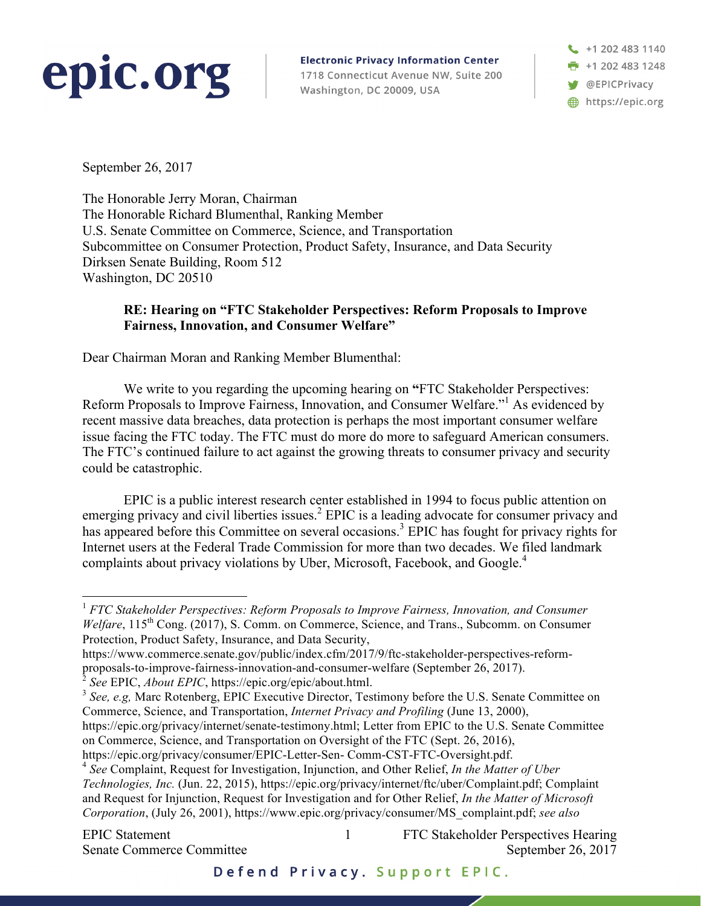## epic.org

**Electronic Privacy Information Center** 1718 Connecticut Avenue NW, Suite 200 Washington, DC 20009, USA

+1 202 483 1140 **F** +1 202 483 1248 **W** @EPICPrivacy https://epic.org

September 26, 2017

The Honorable Jerry Moran, Chairman The Honorable Richard Blumenthal, Ranking Member U.S. Senate Committee on Commerce, Science, and Transportation Subcommittee on Consumer Protection, Product Safety, Insurance, and Data Security Dirksen Senate Building, Room 512 Washington, DC 20510

## **RE: Hearing on "FTC Stakeholder Perspectives: Reform Proposals to Improve Fairness, Innovation, and Consumer Welfare"**

Dear Chairman Moran and Ranking Member Blumenthal:

We write to you regarding the upcoming hearing on **"**FTC Stakeholder Perspectives: Reform Proposals to Improve Fairness, Innovation, and Consumer Welfare."1 As evidenced by recent massive data breaches, data protection is perhaps the most important consumer welfare issue facing the FTC today. The FTC must do more do more to safeguard American consumers. The FTC's continued failure to act against the growing threats to consumer privacy and security could be catastrophic.

EPIC is a public interest research center established in 1994 to focus public attention on emerging privacy and civil liberties issues.<sup>2</sup> EPIC is a leading advocate for consumer privacy and has appeared before this Committee on several occasions.<sup>3</sup> EPIC has fought for privacy rights for Internet users at the Federal Trade Commission for more than two decades. We filed landmark complaints about privacy violations by Uber, Microsoft, Facebook, and Google.<sup>4</sup>

https://www.commerce.senate.gov/public/index.cfm/2017/9/ftc-stakeholder-perspectives-reformproposals-to-improve-fairness-innovation-and-consumer-welfare (September 26, 2017).<br>
<sup>2</sup> See EPIC, *About EPIC*, https://epic.org/epic/about.html.

https://epic.org/privacy/internet/senate-testimony.html; Letter from EPIC to the U.S. Senate Committee on Commerce, Science, and Transportation on Oversight of the FTC (Sept. 26, 2016),

*Technologies, Inc.* (Jun. 22, 2015), https://epic.org/privacy/internet/ftc/uber/Complaint.pdf; Complaint and Request for Injunction, Request for Investigation and for Other Relief, *In the Matter of Microsoft Corporation*, (July 26, 2001), https://www.epic.org/privacy/consumer/MS\_complaint.pdf; *see also* 

1

EPIC Statement 1 FTC Stakeholder Perspectives Hearing Senate Commerce Committee September 26, 2017

<sup>&</sup>lt;sup>1</sup> *FTC Stakeholder Perspectives: Reform Proposals to Improve Fairness, Innovation, and Consumer Welfare*, 115<sup>th</sup> Cong. (2017), S. Comm. on Commerce, Science, and Trans., Subcomm. on Consumer Protection, Product Safety, Insurance, and Data Security,

<sup>&</sup>lt;sup>3</sup> See, e.g, Marc Rotenberg, EPIC Executive Director, Testimony before the U.S. Senate Committee on Commerce, Science, and Transportation, *Internet Privacy and Profiling* (June 13, 2000),

https://epic.org/privacy/consumer/EPIC-Letter-Sen- Comm-CST-FTC-Oversight.pdf. <sup>4</sup> *See* Complaint, Request for Investigation, Injunction, and Other Relief, *In the Matter of Uber*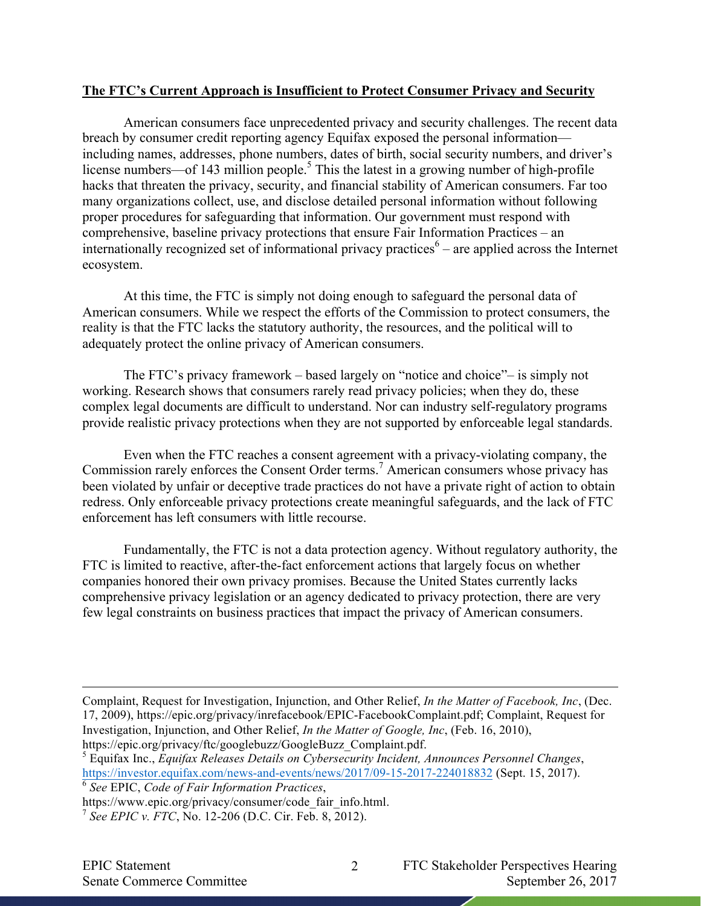## **The FTC's Current Approach is Insufficient to Protect Consumer Privacy and Security**

American consumers face unprecedented privacy and security challenges. The recent data breach by consumer credit reporting agency Equifax exposed the personal information including names, addresses, phone numbers, dates of birth, social security numbers, and driver's license numbers—of 143 million people.<sup>5</sup> This the latest in a growing number of high-profile hacks that threaten the privacy, security, and financial stability of American consumers. Far too many organizations collect, use, and disclose detailed personal information without following proper procedures for safeguarding that information. Our government must respond with comprehensive, baseline privacy protections that ensure Fair Information Practices – an internationally recognized set of informational privacy practices<sup> $6$ </sup> – are applied across the Internet ecosystem.

At this time, the FTC is simply not doing enough to safeguard the personal data of American consumers. While we respect the efforts of the Commission to protect consumers, the reality is that the FTC lacks the statutory authority, the resources, and the political will to adequately protect the online privacy of American consumers.

The FTC's privacy framework – based largely on "notice and choice"– is simply not working. Research shows that consumers rarely read privacy policies; when they do, these complex legal documents are difficult to understand. Nor can industry self-regulatory programs provide realistic privacy protections when they are not supported by enforceable legal standards.

Even when the FTC reaches a consent agreement with a privacy-violating company, the Commission rarely enforces the Consent Order terms.<sup>7</sup> American consumers whose privacy has been violated by unfair or deceptive trade practices do not have a private right of action to obtain redress. Only enforceable privacy protections create meaningful safeguards, and the lack of FTC enforcement has left consumers with little recourse.

Fundamentally, the FTC is not a data protection agency. Without regulatory authority, the FTC is limited to reactive, after-the-fact enforcement actions that largely focus on whether companies honored their own privacy promises. Because the United States currently lacks comprehensive privacy legislation or an agency dedicated to privacy protection, there are very few legal constraints on business practices that impact the privacy of American consumers.

Complaint, Request for Investigation, Injunction, and Other Relief, *In the Matter of Facebook, Inc*, (Dec. 17, 2009), https://epic.org/privacy/inrefacebook/EPIC-FacebookComplaint.pdf; Complaint, Request for Investigation, Injunction, and Other Relief, *In the Matter of Google, Inc*, (Feb. 16, 2010),

https://epic.org/privacy/ftc/googlebuzz/GoogleBuzz\_Complaint.pdf. <sup>5</sup> Equifax Inc., *Equifax Releases Details on Cybersecurity Incident, Announces Personnel Changes*, https://investor.equifax.com/news-and-events/news/2017/09-15-2017-224018832 (Sept. 15, 2017).

<sup>6</sup> *See* EPIC, *Code of Fair Information Practices*,

https://www.epic.org/privacy/consumer/code\_fair\_info.html.

 $\overline{a}$ 

EPIC Statement 2 FTC Stakeholder Perspectives Hearing Senate Commerce Committee September 26, 2017

<sup>7</sup> *See EPIC v. FTC*, No. 12-206 (D.C. Cir. Feb. 8, 2012).